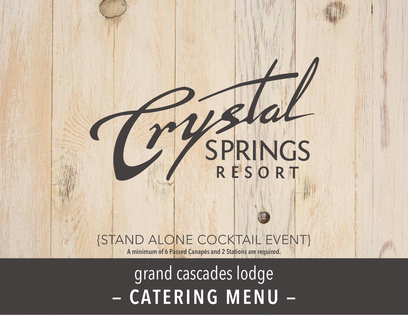# {STAND ALONE COCKTAIL EVENT}

SPRINGS

**A minimum of 6 Passed Canapés and 2 Stations are required.**

# - CATERING MENU grand cascades lodge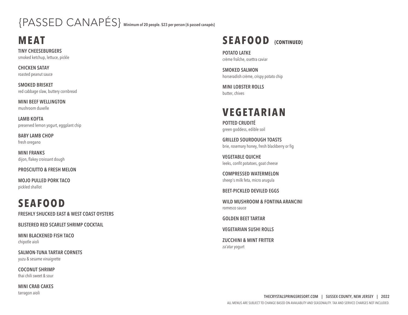## {PASSED CANAPÉS} **Minimum of 20 people. \$23 per person {6 passed canapés}**

#### **MEAT**

**TINY CHEESEBURGERS** smoked ketchup, lettuce, pickle

**CHICKEN SATAY** roasted peanut sauce

**SMOKED BRISKET** red cabbage slaw, buttery cornbread

**MINI BEEF WELLINGTON** mushroom duxelle

**LAMB KOFTA** preserved lemon yogurt, eggplant chip

**BABY LAMB CHOP** fresh oregano

**MINI FRANKS** dijon, flakey croissant dough

#### **PROSCIUTTO & FRESH MELON**

**MOJO PULLED PORK TACO** pickled shallot

### **SEAFOOD**

**FRESHLY SHUCKED EAST & WEST COAST OYSTERS**

**BLISTERED RED SCARLET SHRIMP COCKTAIL**

**MINI BLACKENED FISH TACO** chipotle aioli

**SALMON-TUNA TARTAR CORNETS** yuzu & sesame vinaigrette

**COCONUT SHRIMP** thai chili sweet & sour

**MINI CRAB CAKES** tarragon aioli



**POTATO LATKE** crème fraÎche, osettra caviar

**SMOKED SALMON** horseradish crème, crispy potato chip

**MINI LOBSTER ROLLS** butter, chives

#### **VEGETARIAN**

**POTTED CRUDITÉ** green goddess, edible soil

**GRILLED SOURDOUGH TOASTS** brie, rosemary honey, fresh blackberry or fig

**VEGETABLE QUICHE** leeks, confit potatoes, goat cheese

**COMPRESSED WATERMELON** sheep's milk feta, micro arugula

**BEET-PICKLED DEVILED EGGS**

**WILD MUSHROOM & FONTINA ARANCINI** romesco sauce

**GOLDEN BEET TARTAR**

**VEGETARIAN SUSHI ROLLS**

**ZUCCHINI & MINT FRITTER** za'atar yogurt